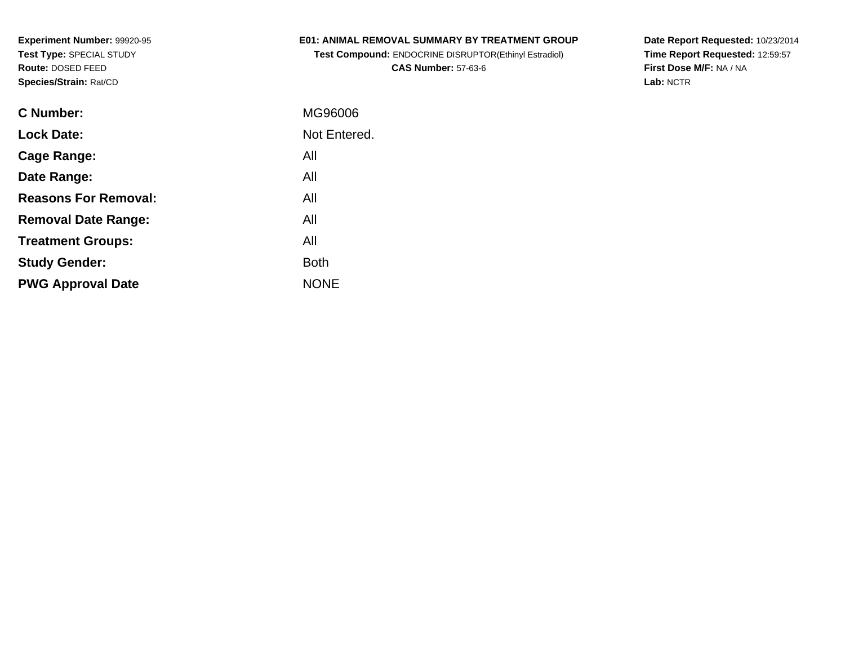### **E01: ANIMAL REMOVAL SUMMARY BY TREATMENT GROUP**

**Test Compound:** ENDOCRINE DISRUPTOR(Ethinyl Estradiol)**CAS Number:** 57-63-6

| C Number:                   | MG96006      |
|-----------------------------|--------------|
| <b>Lock Date:</b>           | Not Entered. |
| Cage Range:                 | All          |
| Date Range:                 | All          |
| <b>Reasons For Removal:</b> | All          |
| <b>Removal Date Range:</b>  | All          |
| <b>Treatment Groups:</b>    | All          |
| <b>Study Gender:</b>        | <b>Both</b>  |
| <b>PWG Approval Date</b>    | <b>NONE</b>  |
|                             |              |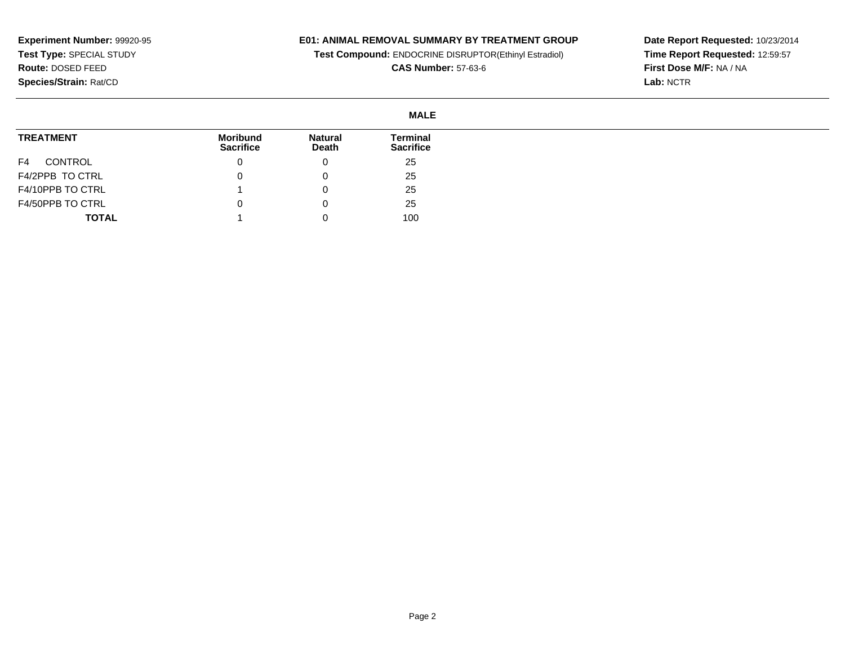### **E01: ANIMAL REMOVAL SUMMARY BY TREATMENT GROUP**

**Test Compound:** ENDOCRINE DISRUPTOR(Ethinyl Estradiol)

**CAS Number:** 57-63-6

|                  | <b>MALE</b>                  |                         |                                     |
|------------------|------------------------------|-------------------------|-------------------------------------|
| <b>TREATMENT</b> | Moribund<br><b>Sacrifice</b> | <b>Natural</b><br>Death | <b>Terminal</b><br><b>Sacrifice</b> |
| CONTROL<br>F4    |                              | 0                       | 25                                  |
| F4/2PPB TO CTRL  |                              |                         | 25                                  |
| F4/10PPB TO CTRL |                              |                         | 25                                  |
| F4/50PPB TO CTRL |                              |                         | 25                                  |
| <b>TOTAL</b>     |                              |                         | 100                                 |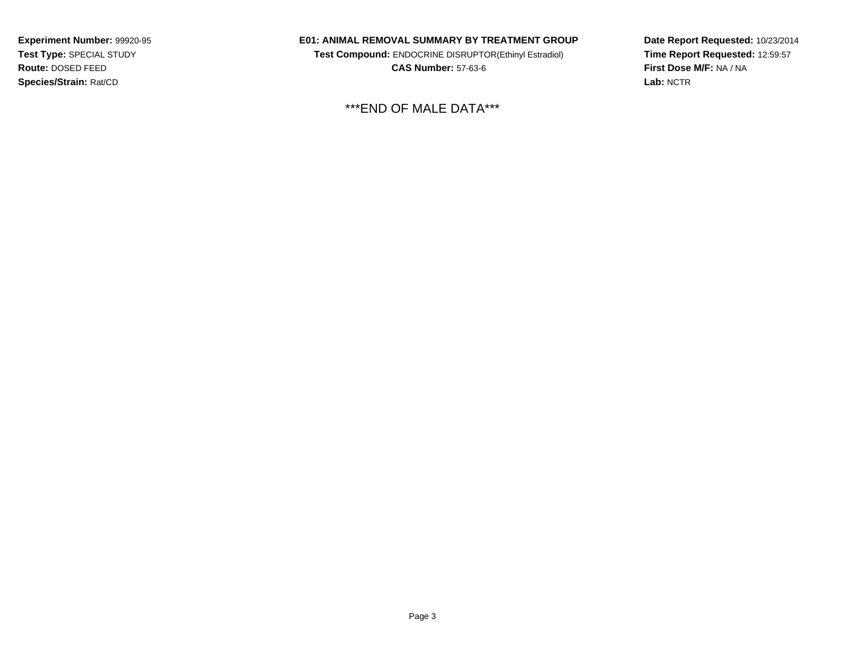#### **E01: ANIMAL REMOVAL SUMMARY BY TREATMENT GROUP**

**Test Compound:** ENDOCRINE DISRUPTOR(Ethinyl Estradiol)**CAS Number:** 57-63-6

\*\*\*END OF MALE DATA\*\*\*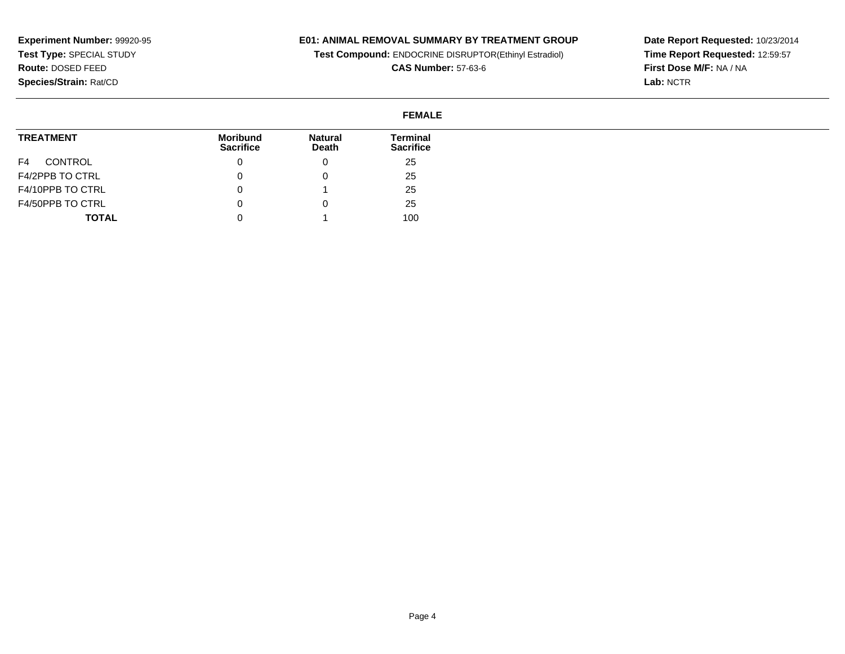### **E01: ANIMAL REMOVAL SUMMARY BY TREATMENT GROUP**

**Test Compound:** ENDOCRINE DISRUPTOR(Ethinyl Estradiol)

**CAS Number:** 57-63-6

**Date Report Requested:** 10/23/2014 **Time Report Requested:** 12:59:57**First Dose M/F:** NA / NA**Lab:** NCTR

# **FEMALE**

| <b>TREATMENT</b> | Moribund<br><b>Sacrifice</b> | <b>Natural</b><br>Death | Terminal<br><b>Sacrifice</b> |
|------------------|------------------------------|-------------------------|------------------------------|
| CONTROL<br>F4    |                              |                         | 25                           |
| F4/2PPB TO CTRL  |                              |                         | 25                           |
| F4/10PPB TO CTRL |                              |                         | 25                           |
| F4/50PPB TO CTRL |                              |                         | 25                           |
| <b>TOTAL</b>     |                              |                         | 100                          |